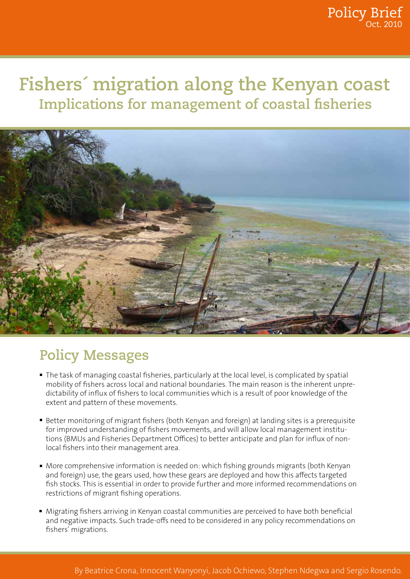# **Fishers´ migration along the Kenyan coast Implications for management of coastal fisheries**



# **Policy Messages**

- The task of managing coastal fisheries, particularly at the local level, is complicated by spatial mobility of fishers across local and national boundaries. The main reason is the inherent unpredictability of influx of fishers to local communities which is a result of poor knowledge of the extent and pattern of these movements.
- Better monitoring of migrant fishers (both Kenyan and foreign) at landing sites is a prerequisite for improved understanding of fishers movements, and will allow local management institutions (BMUs and Fisheries Department Offices) to better anticipate and plan for influx of nonlocal fishers into their management area.
- More comprehensive information is needed on: which fishing grounds migrants (both Kenyan and foreign) use, the gears used, how these gears are deployed and how this affects targeted fish stocks. This is essential in order to provide further and more informed recommendations on restrictions of migrant fishing operations.
- Migrating fishers arriving in Kenyan coastal communities are perceived to have both beneficial and negative impacts. Such trade-offs need to be considered in any policy recommendations on fishers' migrations.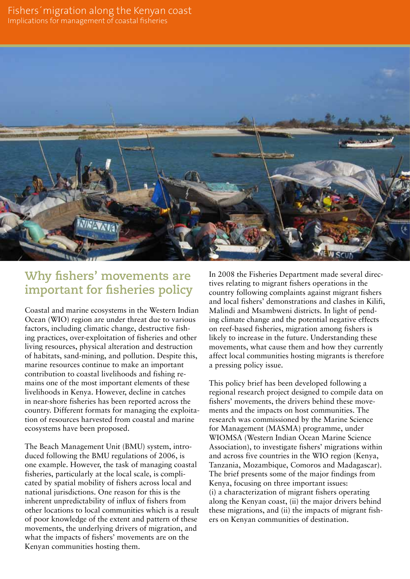

## **Why fishers' movements are important for fisheries policy**

Coastal and marine ecosystems in the Western Indian Ocean (WIO) region are under threat due to various factors, including climatic change, destructive fishing practices, over-exploitation of fisheries and other living resources, physical alteration and destruction of habitats, sand-mining, and pollution. Despite this, marine resources continue to make an important contribution to coastal livelihoods and fishing remains one of the most important elements of these livelihoods in Kenya. However, decline in catches in near-shore fisheries has been reported across the country. Different formats for managing the exploitation of resources harvested from coastal and marine ecosystems have been proposed.

The Beach Management Unit (BMU) system, introduced following the BMU regulations of 2006, is one example. However, the task of managing coastal fisheries, particularly at the local scale, is complicated by spatial mobility of fishers across local and national jurisdictions. One reason for this is the inherent unpredictability of influx of fishers from other locations to local communities which is a result of poor knowledge of the extent and pattern of these movements, the underlying drivers of migration, and what the impacts of fishers' movements are on the Kenyan communities hosting them.

In 2008 the Fisheries Department made several directives relating to migrant fishers operations in the country following complaints against migrant fishers and local fishers' demonstrations and clashes in Kilifi, Malindi and Msambweni districts. In light of pending climate change and the potential negative effects on reef-based fisheries, migration among fishers is likely to increase in the future. Understanding these movements, what cause them and how they currently affect local communities hosting migrants is therefore a pressing policy issue.

This policy brief has been developed following a regional research project designed to compile data on fishers' movements, the drivers behind these movements and the impacts on host communities. The research was commissioned by the Marine Science for Management (MASMA) programme, under WIOMSA (Western Indian Ocean Marine Science Association), to investigate fishers' migrations within and across five countries in the WIO region (Kenya, Tanzania, Mozambique, Comoros and Madagascar). The brief presents some of the major findings from Kenya, focusing on three important issues: (i) a characterization of migrant fishers operating along the Kenyan coast, (ii) the major drivers behind these migrations, and (ii) the impacts of migrant fishers on Kenyan communities of destination.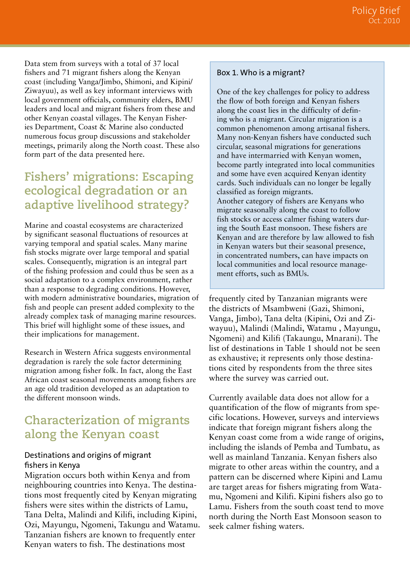Data stem from surveys with a total of 37 local fishers and 71 migrant fishers along the Kenyan coast (including Vanga/Jimbo, Shimoni, and Kipini/ Ziwayuu), as well as key informant interviews with local government officials, community elders, BMU leaders and local and migrant fishers from these and other Kenyan coastal villages. The Kenyan Fisheries Department, Coast & Marine also conducted numerous focus group discussions and stakeholder meetings, primarily along the North coast. These also form part of the data presented here.

## **Fishers' migrations: Escaping ecological degradation or an adaptive livelihood strategy?**

Marine and coastal ecosystems are characterized by significant seasonal fluctuations of resources at varying temporal and spatial scales. Many marine fish stocks migrate over large temporal and spatial scales. Consequently, migration is an integral part of the fishing profession and could thus be seen as a social adaptation to a complex environment, rather than a response to degrading conditions. However, with modern administrative boundaries, migration of fish and people can present added complexity to the already complex task of managing marine resources. This brief will highlight some of these issues, and their implications for management.

Research in Western Africa suggests environmental degradation is rarely the sole factor determining migration among fisher folk. In fact, along the East African coast seasonal movements among fishers are an age old tradition developed as an adaptation to the different monsoon winds.

## **Characterization of migrants along the Kenyan coast**

#### Destinations and origins of migrant fishers in Kenya

Migration occurs both within Kenya and from neighbouring countries into Kenya. The destinations most frequently cited by Kenyan migrating fishers were sites within the districts of Lamu, Tana Delta, Malindi and Kilifi, including Kipini, Ozi, Mayungu, Ngomeni, Takungu and Watamu. Tanzanian fishers are known to frequently enter Kenyan waters to fish. The destinations most

#### Box 1. Who is a migrant?

One of the key challenges for policy to address the flow of both foreign and Kenyan fishers along the coast lies in the difficulty of defining who is a migrant. Circular migration is a common phenomenon among artisanal fishers. Many non-Kenyan fishers have conducted such circular, seasonal migrations for generations and have intermarried with Kenyan women, become partly integrated into local communities and some have even acquired Kenyan identity cards. Such individuals can no longer be legally classified as foreign migrants. Another category of fishers are Kenyans who migrate seasonally along the coast to follow fish stocks or access calmer fishing waters during the South East monsoon. These fishers are Kenyan and are therefore by law allowed to fish in Kenyan waters but their seasonal presence, in concentrated numbers, can have impacts on local communities and local resource management efforts, such as BMUs.

frequently cited by Tanzanian migrants were the districts of Msambweni (Gazi, Shimoni, Vanga, Jimbo), Tana delta (Kipini, Ozi and Ziwayuu), Malindi (Malindi, Watamu , Mayungu, Ngomeni) and Kilifi (Takaungu, Mnarani). The list of destinations in Table 1 should not be seen as exhaustive; it represents only those destinations cited by respondents from the three sites where the survey was carried out.

Currently available data does not allow for a quantification of the flow of migrants from specific locations. However, surveys and interviews indicate that foreign migrant fishers along the Kenyan coast come from a wide range of origins, including the islands of Pemba and Tumbatu, as well as mainland Tanzania. Kenyan fishers also migrate to other areas within the country, and a pattern can be discerned where Kipini and Lamu are target areas for fishers migrating from Watamu, Ngomeni and Kilifi. Kipini fishers also go to Lamu. Fishers from the south coast tend to move north during the North East Monsoon season to seek calmer fishing waters.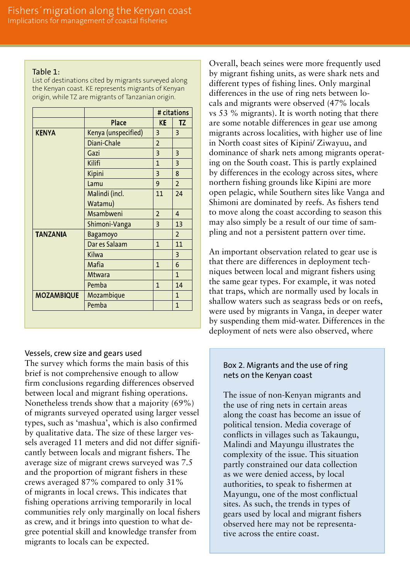#### Table 1:

List of destinations cited by migrants surveyed along the Kenyan coast. KE represents migrants of Kenyan origin, while TZ are migrants of Tanzanian origin.

|                   |                     | # citations    |                         |
|-------------------|---------------------|----------------|-------------------------|
|                   | <b>Place</b>        | <b>KE</b>      | <b>TZ</b>               |
| <b>KENYA</b>      | Kenya (unspecified) | $\overline{3}$ | $\overline{3}$          |
|                   | Diani-Chale         | $\overline{2}$ |                         |
|                   | Gazi                | $\overline{3}$ | $\overline{\mathbf{3}}$ |
|                   | Kilifi              | $\mathbf{1}$   | $\overline{3}$          |
|                   | Kipini              | $\overline{3}$ | 8                       |
|                   | Lamu                | 9              | $\overline{2}$          |
|                   | Malindi (incl.      | 11             | 24                      |
|                   | Watamu)             |                |                         |
|                   | Msambweni           | $\overline{2}$ | $\overline{4}$          |
|                   | Shimoni-Vanga       | $\overline{3}$ | 13                      |
| <b>TANZANIA</b>   | <b>Bagamoyo</b>     |                | $\overline{2}$          |
|                   | Dar es Salaam       | 1              | 11                      |
|                   | <b>Kilwa</b>        |                | $\overline{3}$          |
|                   | <b>Mafia</b>        | $\mathbf{1}$   | 6                       |
|                   | <b>Mtwara</b>       |                | $\mathbf{1}$            |
|                   | Pemba               | $\mathbf{1}$   | 14                      |
| <b>MOZAMBIQUE</b> | Mozambique          |                | $\overline{1}$          |
|                   | Pemba               |                | $\mathbf{1}$            |

#### Vessels, crew size and gears used

The survey which forms the main basis of this brief is not comprehensive enough to allow firm conclusions regarding differences observed between local and migrant fishing operations. Nonetheless trends show that a majority (69%) of migrants surveyed operated using larger vessel types, such as 'mashua', which is also confirmed by qualitative data. The size of these larger vessels averaged 11 meters and did not differ significantly between locals and migrant fishers. The average size of migrant crews surveyed was 7.5 and the proportion of migrant fishers in these crews averaged 87% compared to only 31% of migrants in local crews. This indicates that fishing operations arriving temporarily in local communities rely only marginally on local fishers as crew, and it brings into question to what degree potential skill and knowledge transfer from migrants to locals can be expected.

Overall, beach seines were more frequently used by migrant fishing units, as were shark nets and different types of fishing lines. Only marginal differences in the use of ring nets between locals and migrants were observed (47% locals vs 53 % migrants). It is worth noting that there are some notable differences in gear use among migrants across localities, with higher use of line in North coast sites of Kipini/ Ziwayuu, and dominance of shark nets among migrants operating on the South coast. This is partly explained by differences in the ecology across sites, where northern fishing grounds like Kipini are more open pelagic, while Southern sites like Vanga and Shimoni are dominated by reefs. As fishers tend to move along the coast according to season this may also simply be a result of our time of sampling and not a persistent pattern over time.

An important observation related to gear use is that there are differences in deployment techniques between local and migrant fishers using the same gear types. For example, it was noted that traps, which are normally used by locals in shallow waters such as seagrass beds or on reefs, were used by migrants in Vanga, in deeper water by suspending them mid-water. Differences in the deployment of nets were also observed, where

#### Box 2. Migrants and the use of ring nets on the Kenyan coast

The issue of non-Kenyan migrants and the use of ring nets in certain areas along the coast has become an issue of political tension. Media coverage of conflicts in villages such as Takaungu, Malindi and Mayungu illustrates the complexity of the issue. This situation partly constrained our data collection as we were denied access, by local authorities, to speak to fishermen at Mayungu, one of the most conflictual sites. As such, the trends in types of gears used by local and migrant fishers observed here may not be representative across the entire coast.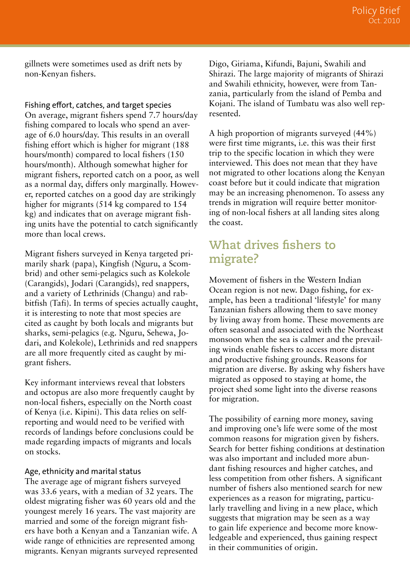gillnets were sometimes used as drift nets by non-Kenyan fishers.

Fishing effort, catches, and target species

On average, migrant fishers spend 7.7 hours/day fishing compared to locals who spend an average of 6.0 hours/day. This results in an overall fishing effort which is higher for migrant (188 hours/month) compared to local fishers (150 hours/month). Although somewhat higher for migrant fishers, reported catch on a poor, as well as a normal day, differs only marginally. However, reported catches on a good day are strikingly higher for migrants (514 kg compared to 154 kg) and indicates that on average migrant fishing units have the potential to catch significantly more than local crews.

Migrant fishers surveyed in Kenya targeted primarily shark (papa), Kingfish (Nguru, a Scombrid) and other semi-pelagics such as Kolekole (Carangids), Jodari (Carangids), red snappers, and a variety of Lethrinids (Changu) and rabbitfish (Tafi). In terms of species actually caught, it is interesting to note that most species are cited as caught by both locals and migrants but sharks, semi-pelagics (e.g. Nguru, Sehewa, Jodari, and Kolekole), Lethrinids and red snappers are all more frequently cited as caught by migrant fishers.

Key informant interviews reveal that lobsters and octopus are also more frequently caught by non-local fishers, especially on the North coast of Kenya (i.e. Kipini). This data relies on selfreporting and would need to be verified with records of landings before conclusions could be made regarding impacts of migrants and locals on stocks.

#### Age, ethnicity and marital status

The average age of migrant fishers surveyed was 33.6 years, with a median of 32 years. The oldest migrating fisher was 60 years old and the youngest merely 16 years. The vast majority are married and some of the foreign migrant fishers have both a Kenyan and a Tanzanian wife. A wide range of ethnicities are represented among migrants. Kenyan migrants surveyed represented Digo, Giriama, Kifundi, Bajuni, Swahili and Shirazi. The large majority of migrants of Shirazi and Swahili ethnicity, however, were from Tanzania, particularly from the island of Pemba and Kojani. The island of Tumbatu was also well represented.

A high proportion of migrants surveyed (44%) were first time migrants, i.e. this was their first trip to the specific location in which they were interviewed. This does not mean that they have not migrated to other locations along the Kenyan coast before but it could indicate that migration may be an increasing phenomenon. To assess any trends in migration will require better monitoring of non-local fishers at all landing sites along the coast.

### **What drives fishers to migrate?**

Movement of fishers in the Western Indian Ocean region is not new. Dago fishing, for example, has been a traditional 'lifestyle' for many Tanzanian fishers allowing them to save money by living away from home. These movements are often seasonal and associated with the Northeast monsoon when the sea is calmer and the prevailing winds enable fishers to access more distant and productive fishing grounds. Reasons for migration are diverse. By asking why fishers have migrated as opposed to staying at home, the project shed some light into the diverse reasons for migration.

The possibility of earning more money, saving and improving one's life were some of the most common reasons for migration given by fishers. Search for better fishing conditions at destination was also important and included more abundant fishing resources and higher catches, and less competition from other fishers. A significant number of fishers also mentioned search for new experiences as a reason for migrating, particularly travelling and living in a new place, which suggests that migration may be seen as a way to gain life experience and become more knowledgeable and experienced, thus gaining respect in their communities of origin.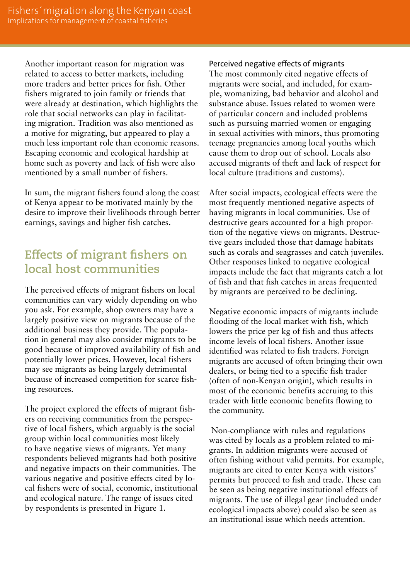Another important reason for migration was related to access to better markets, including more traders and better prices for fish. Other fishers migrated to join family or friends that were already at destination, which highlights the role that social networks can play in facilitating migration. Tradition was also mentioned as a motive for migrating, but appeared to play a much less important role than economic reasons. Escaping economic and ecological hardship at home such as poverty and lack of fish were also mentioned by a small number of fishers.

In sum, the migrant fishers found along the coast of Kenya appear to be motivated mainly by the desire to improve their livelihoods through better earnings, savings and higher fish catches.

## **Effects of migrant fishers on local host communities**

The perceived effects of migrant fishers on local communities can vary widely depending on who you ask. For example, shop owners may have a largely positive view on migrants because of the additional business they provide. The population in general may also consider migrants to be good because of improved availability of fish and potentially lower prices. However, local fishers may see migrants as being largely detrimental because of increased competition for scarce fishing resources.

The project explored the effects of migrant fishers on receiving communities from the perspective of local fishers, which arguably is the social group within local communities most likely to have negative views of migrants. Yet many respondents believed migrants had both positive and negative impacts on their communities. The various negative and positive effects cited by local fishers were of social, economic, institutional and ecological nature. The range of issues cited by respondents is presented in Figure 1.

Perceived negative effects of migrants

The most commonly cited negative effects of migrants were social, and included, for example, womanizing, bad behavior and alcohol and substance abuse. Issues related to women were of particular concern and included problems such as pursuing married women or engaging in sexual activities with minors, thus promoting teenage pregnancies among local youths which cause them to drop out of school. Locals also accused migrants of theft and lack of respect for local culture (traditions and customs).

After social impacts, ecological effects were the most frequently mentioned negative aspects of having migrants in local communities. Use of destructive gears accounted for a high proportion of the negative views on migrants. Destructive gears included those that damage habitats such as corals and seagrasses and catch juveniles. Other responses linked to negative ecological impacts include the fact that migrants catch a lot of fish and that fish catches in areas frequented by migrants are perceived to be declining.

Negative economic impacts of migrants include flooding of the local market with fish, which lowers the price per kg of fish and thus affects income levels of local fishers. Another issue identified was related to fish traders. Foreign migrants are accused of often bringing their own dealers, or being tied to a specific fish trader (often of non-Kenyan origin), which results in most of the economic benefits accruing to this trader with little economic benefits flowing to the community.

 Non-compliance with rules and regulations was cited by locals as a problem related to migrants. In addition migrants were accused of often fishing without valid permits. For example, migrants are cited to enter Kenya with visitors' permits but proceed to fish and trade. These can be seen as being negative institutional effects of migrants. The use of illegal gear (included under ecological impacts above) could also be seen as an institutional issue which needs attention.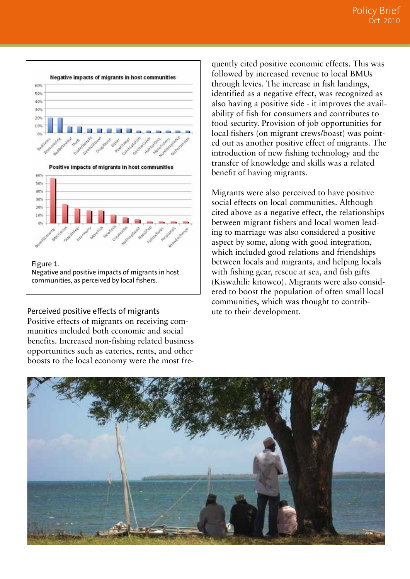

communities, as perceived by local fishers.

#### Perceived positive effects of migrants

Positive effects of migrants on receiving communities included both economic and social benefits. Increased non-fishing related business opportunities such as eateries, rents, and other boosts to the local economy were the most fre-

quently cited positive economic effects. This was followed by increased revenue to local BMUs through levies. The increase in fish landings, identified as a negative effect, was recognized as also having a positive side - it improves the availability of fish for consumers and contributes to food security. Provision of job opportunities for local fishers (on migrant crews/boast) was pointed out as another positive effect of migrants. The introduction of new fishing technology and the transfer of knowledge and skills was a related benefit of having migrants.

Migrants were also perceived to have positive social effects on local communities. Although cited above as a negative effect, the relationships between migrant fishers and local women leading to marriage was also considered a positive aspect by some, along with good integration, which included good relations and friendships between locals and migrants, and helping locals with fishing gear, rescue at sea, and fish gifts (Kiswahili: kitoweo). Migrants were also considered to boost the population of often small local communities, which was thought to contribute to their development.

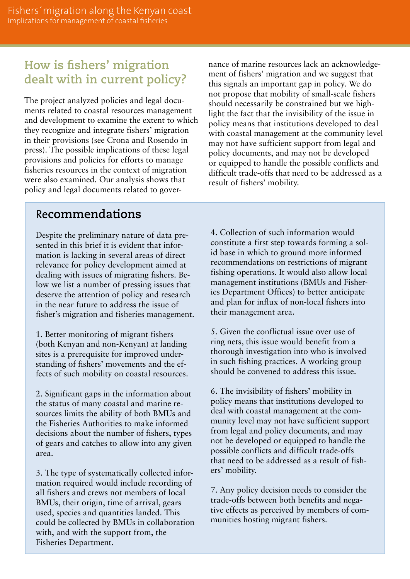## **How is fishers' migration dealt with in current policy?**

The project analyzed policies and legal documents related to coastal resources management and development to examine the extent to which they recognize and integrate fishers' migration in their provisions (see Crona and Rosendo in press). The possible implications of these legal provisions and policies for efforts to manage fisheries resources in the context of migration were also examined. Our analysis shows that policy and legal documents related to governance of marine resources lack an acknowledgement of fishers' migration and we suggest that this signals an important gap in policy. We do not propose that mobility of small-scale fishers should necessarily be constrained but we highlight the fact that the invisibility of the issue in policy means that institutions developed to deal with coastal management at the community level may not have sufficient support from legal and policy documents, and may not be developed or equipped to handle the possible conflicts and difficult trade-offs that need to be addressed as a result of fishers' mobility.

### Re**commendations**

Despite the preliminary nature of data presented in this brief it is evident that information is lacking in several areas of direct relevance for policy development aimed at dealing with issues of migrating fishers. Below we list a number of pressing issues that deserve the attention of policy and research in the near future to address the issue of fisher's migration and fisheries management.

1. Better monitoring of migrant fishers (both Kenyan and non-Kenyan) at landing sites is a prerequisite for improved understanding of fishers' movements and the effects of such mobility on coastal resources.

2. Significant gaps in the information about the status of many coastal and marine resources limits the ability of both BMUs and the Fisheries Authorities to make informed decisions about the number of fishers, types of gears and catches to allow into any given area.

3. The type of systematically collected information required would include recording of all fishers and crews not members of local BMUs, their origin, time of arrival, gears used, species and quantities landed. This could be collected by BMUs in collaboration with, and with the support from, the Fisheries Department.

4. Collection of such information would constitute a first step towards forming a solid base in which to ground more informed recommendations on restrictions of migrant fishing operations. It would also allow local management institutions (BMUs and Fisheries Department Offices) to better anticipate and plan for influx of non-local fishers into their management area.

5. Given the conflictual issue over use of ring nets, this issue would benefit from a thorough investigation into who is involved in such fishing practices. A working group should be convened to address this issue.

6. The invisibility of fishers' mobility in policy means that institutions developed to deal with coastal management at the community level may not have sufficient support from legal and policy documents, and may not be developed or equipped to handle the possible conflicts and difficult trade-offs that need to be addressed as a result of fishers' mobility.

7. Any policy decision needs to consider the trade-offs between both benefits and negative effects as perceived by members of communities hosting migrant fishers.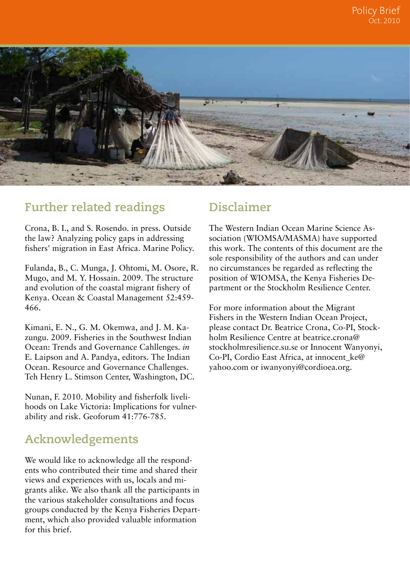

### **Further related readings**

Crona, B. I., and S. Rosendo. in press. Outside the law? Analyzing policy gaps in addressing fishers' migration in East Africa. Marine Policy.

Fulanda, B., C. Munga, J. Ohtomi, M. Osore, R. Mugo, and M. Y. Hossain. 2009. The structure and evolution of the coastal migrant fishery of Kenya. Ocean & Coastal Management 52:459- 466.

Kimani, E. N., G. M. Okemwa, and J. M. Kazungu. 2009. Fisheries in the Southwest Indian Ocean: Trends and Governance Cahllenges. *in* E. Laipson and A. Pandya, editors. The Indian Ocean. Resource and Governance Challenges. Teh Henry L. Stimson Center, Washington, DC.

Nunan, F. 2010. Mobility and fisherfolk livelihoods on Lake Victoria: Implications for vulnerability and risk. Geoforum 41:776-785.

### **Acknowledgements**

We would like to acknowledge all the respondents who contributed their time and shared their views and experiences with us, locals and migrants alike. We also thank all the participants in the various stakeholder consultations and focus groups conducted by the Kenya Fisheries Department, which also provided valuable information for this brief.

### **Disclaimer**

The Western Indian Ocean Marine Science Association (WIOMSA/MASMA) have supported this work. The contents of this document are the sole responsibility of the authors and can under no circumstances be regarded as reflecting the position of WIOMSA, the Kenya Fisheries Department or the Stockholm Resilience Center.

For more information about the Migrant Fishers in the Western Indian Ocean Project, please contact Dr. Beatrice Crona, Co-PI, Stockholm Resilience Centre at beatrice.crona@ stockholmresilience.su.se or Innocent Wanyonyi, Co-PI, Cordio East Africa, at innocent\_ke@ yahoo.com or iwanyonyi@cordioea.org.